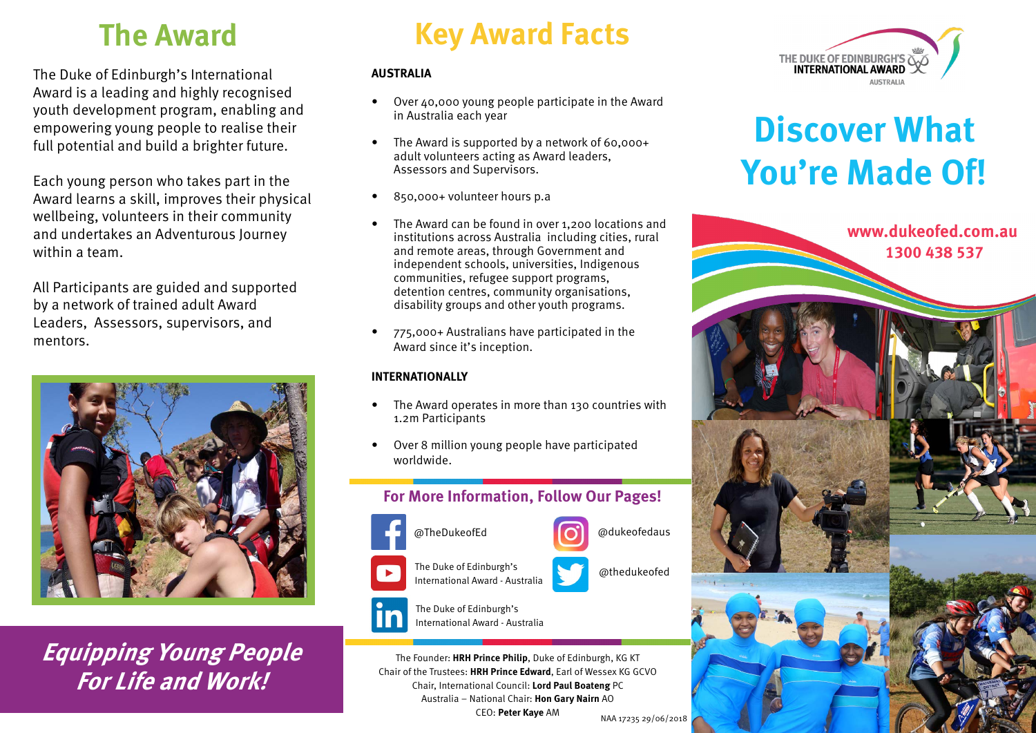The Duke of Edinburgh's International Award is a leading and highly recognised youth development program, enabling and empowering young people to realise their full potential and build a brighter future.

Each young person who takes part in the Award learns a skill, improves their physical wellbeing, volunteers in their community and undertakes an Adventurous Journey within a team.

All Participants are guided and supported by a network of trained adult Award Leaders, Assessors, supervisors, and mentors.



**Equipping Young People For Life and Work!**

# **The Award Key Award Facts**

#### **AUSTRALIA**

- Over 40,000 young people participate in the Award in Australia each year
- The Award is supported by a network of 60,000+ adult volunteers acting as Award leaders, Assessors and Supervisors.
- 850,000+ volunteer hours p.a
- The Award can be found in over 1,200 locations and institutions across Australia including cities, rural and remote areas, through Government and independent schools, universities, Indigenous communities, refugee support programs, detention centres, community organisations, disability groups and other youth programs.
- 775,000+ Australians have participated in the Award since it's inception.

### **INTERNATIONALLY**

- The Award operates in more than 130 countries with 1.2m Participants
- Over 8 million young people have participated worldwide.

# **For More Information, Follow Our Pages!**



The Duke of Edinburgh's a marked the Duke of Edinburgh's International Award - Australia



The Duke of Edinburgh's International Award - Australia

The Founder: **HRH Prince Philip**, Duke of Edinburgh, KG KT Chair of the Trustees: **HRH Prince Edward**, Earl of Wessex KG GCVO Chair, International Council: **Lord Paul Boateng** PC Australia – National Chair: **Hon Gary Nairn** AO CEO: **Peter Kaye** AM NAA 17235 29/06/2018



# **Discover What You're Made Of!**